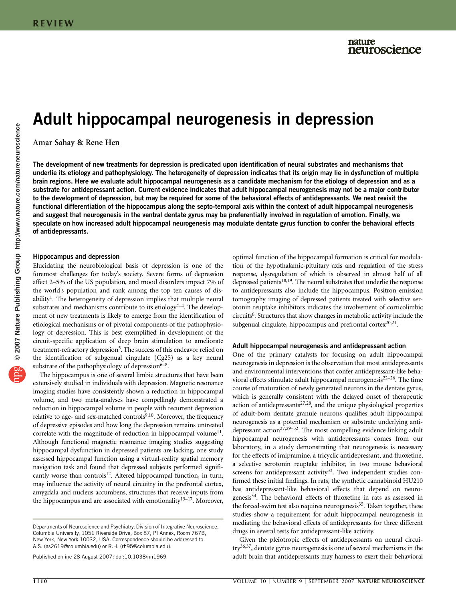# Adult hippocampal neurogenesis in depression

Amar Sahay & Rene Hen

The development of new treatments for depression is predicated upon identification of neural substrates and mechanisms that underlie its etiology and pathophysiology. The heterogeneity of depression indicates that its origin may lie in dysfunction of multiple brain regions. Here we evaluate adult hippocampal neurogenesis as a candidate mechanism for the etiology of depression and as a substrate for antidepressant action. Current evidence indicates that adult hippocampal neurogenesis may not be a major contributor to the development of depression, but may be required for some of the behavioral effects of antidepressants. We next revisit the functional differentiation of the hippocampus along the septo-temporal axis within the context of adult hippocampal neurogenesis and suggest that neurogenesis in the ventral dentate gyrus may be preferentially involved in regulation of emotion. Finally, we speculate on how increased adult hippocampal neurogenesis may modulate dentate gyrus function to confer the behavioral effects of antidepressants.

#### Hippocampus and depression

Elucidating the neurobiological basis of depression is one of the foremost challenges for today's society. Severe forms of depression affect 2–5% of the US population, and mood disorders impact 7% of the world's population and rank among the top ten causes of dis-ability<sup>[1](#page-3-0)</sup>. The heterogeneity of depression implies that multiple neural substrates and mechanisms contribute to its etiology<sup>2-4</sup>. The development of new treatments is likely to emerge from the identification of etiological mechanisms or of pivotal components of the pathophysiology of depression. This is best exemplified in development of the circuit-specific application of deep brain stimulation to ameliorate treatment-refractory depression<sup>5</sup>. The success of this endeavor relied on the identification of subgenual cingulate (Cg25) as a key neural substrate of the pathophysiology of depression $6-8$ .

The hippocampus is one of several limbic structures that have been extensively studied in individuals with depression. Magnetic resonance imaging studies have consistently shown a reduction in hippocampal volume, and two meta-analyses have compellingly demonstrated a reduction in hippocampal volume in people with recurrent depression relative to age- and sex-matched controls $9,10$ . Moreover, the frequency of depressive episodes and how long the depression remains untreated correlate with the magnitude of reduction in hippocampal volume<sup>11</sup>. Although functional magnetic resonance imaging studies suggesting hippocampal dysfunction in depressed patients are lacking, one study assessed hippocampal function using a virtual-reality spatial memory navigation task and found that depressed subjects performed significantly worse than controls<sup>12</sup>. Altered hippocampal function, in turn, may influence the activity of neural circuitry in the prefrontal cortex, amygdala and nucleus accumbens, structures that receive inputs from the hippocampus and are associated with emotionality $13-17$ . Moreover,

optimal function of the hippocampal formation is critical for modulation of the hypothalamic-pituitary axis and regulation of the stress response, dysregulation of which is observed in almost half of all depressed patients<sup>18,19</sup>. The neural substrates that underlie the response to antidepressants also include the hippocampus. Positron emission tomography imaging of depressed patients treated with selective serotonin reuptake inhibitors indicates the involvement of corticolimbic circuits<sup>6</sup>. Structures that show changes in metabolic activity include the subgenual cingulate, hippocampus and prefrontal cortex $2^{0,21}$ .

## Adult hippocampal neurogenesis and antidepressant action

One of the primary catalysts for focusing on adult hippocampal neurogenesis in depression is the observation that most antidepressants and environmental interventions that confer antidepressant-like behavioral effects stimulate adult hippocampal neurogenesis<sup>22-26</sup>. The time course of maturation of newly generated neurons in the dentate gyrus, which is generally consistent with the delayed onset of therapeutic action of antidepressants<sup>27,28</sup>, and the unique physiological properties of adult-born dentate granule neurons qualifies adult hippocampal neurogenesis as a potential mechanism or substrate underlying antidepressant action<sup>27,29–32</sup>. The most compelling evidence linking adult hippocampal neurogenesis with antidepressants comes from our laboratory, in a study demonstrating that neurogenesis is necessary for the effects of imipramine, a tricyclic antidepressant, and fluoxetine, a selective serotonin reuptake inhibitor, in two mouse behavioral screens for antidepressant activity<sup>[33](#page-4-0)</sup>. Two independent studies confirmed these initial findings. In rats, the synthetic cannabinoid HU210 has antidepressant-like behavioral effects that depend on neurogenesi[s34.](#page-4-0) The behavioral effects of fluoxetine in rats as assessed in the forced-swim test also requires neurogenesis<sup>35</sup>. Taken together, these studies show a requirement for adult hippocampal neurogenesis in mediating the behavioral effects of antidepressants for three different drugs in several tests for antidepressant-like activity.

Given the pleiotropic effects of antidepressants on neural circuitry[36,37](#page-4-0), dentate gyrus neurogenesis is one of several mechanisms in the Published online 28 August 2007; [doi:10.1038/nn1969](http://www.nature.com/doifinder/10.1038/nn1969) adult brain that antidepressants may harness to exert their behavioral

Departments of Neuroscience and Psychiatry, Division of Integrative Neuroscience, Columbia University, 1051 Riverside Drive, Box 87, PI Annex, Room 767B, New York, New York 10032, USA. Correspondence should be addressed to A.S. ([as2619@columbia.edu](mailto:as2619@columbia.edu)) or R.H. ([rh95@columbia.edu](mailto:rh95@columbia.edu)).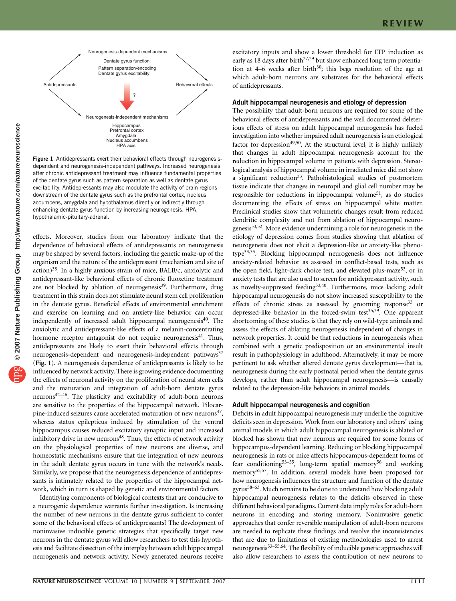

Figure 1 Antidepressants exert their behavioral effects through neurogenesisdependent and neurogenesis-independent pathways. Increased neurogenesis after chronic antidepressant treatment may influence fundamental properties of the dentate gyrus such as pattern separation as well as dentate gyrus excitability. Antidepressants may also modulate the activity of brain regions downstream of the dentate gyrus such as the prefrontal cortex, nucleus accumbens, amygdala and hypothalamus directly or indirectly through enhancing dentate gyrus function by increasing neurogenesis. HPA, hypothalamic-pituitary-adrenal.

effects. Moreover, studies from our laboratory indicate that the dependence of behavioral effects of antidepressants on neurogenesis may be shaped by several factors, including the genetic make-up of the organism and the nature of the antidepressant (mechanism and site of action[\)38](#page-4-0). In a highly anxious strain of mice, BALB/c, anxiolytic and antidepressant-like behavioral effects of chronic fluoxetine treatment are not blocked by ablation of neurogenesis<sup>39</sup>. Furthermore, drug treatment in this strain does not stimulate neural stem cell proliferation in the dentate gyrus. Beneficial effects of environmental enrichment and exercise on learning and on anxiety-like behavior can occur independently of increased adult hippocampal neurogenesis<sup>40</sup>. The anxiolytic and antidepressant-like effects of a melanin-concentrating hormone receptor antagonist do not require neurogenesis<sup>41</sup>. Thus, antidepressants are likely to exert their behavioral effects through neurogenesis-dependent and neurogenesis-independent pathways<sup>37</sup> (Fig. 1). A neurogenesis dependence of antidepressants is likely to be influenced by network activity. There is growing evidence documenting the effects of neuronal activity on the proliferation of neural stem cells and the maturation and integration of adult-born dentate gyrus neurons[42–46](#page-4-0). The plasticity and excitability of adult-born neurons are sensitive to the properties of the hippocampal network. Pilocarpine-induced seizures cause accelerated maturation of new neurons $47$ , whereas status epilepticus induced by stimulation of the ventral hippocampus causes reduced excitatory synaptic input and increased inhibitory drive in new neurons<sup>[48](#page-4-0)</sup>. Thus, the effects of network activity on the physiological properties of new neurons are diverse, and homeostatic mechanisms ensure that the integration of new neurons in the adult dentate gyrus occurs in tune with the network's needs. Similarly, we propose that the neurogenesis dependence of antidepressants is intimately related to the properties of the hippocampal network, which in turn is shaped by genetic and environmental factors.

Identifying components of biological contexts that are conducive to a neurogenic dependence warrants further investigation. Is increasing the number of new neurons in the dentate gyrus sufficient to confer some of the behavioral effects of antidepressants? The development of noninvasive inducible genetic strategies that specifically target new neurons in the dentate gyrus will allow researchers to test this hypothesis and facilitate dissection of the interplay between adult hippocampal neurogenesis and network activity. Newly generated neurons receive

excitatory inputs and show a lower threshold for LTP induction as early as 18 days after birth<sup>27,29</sup> but show enhanced long term potentiation at 4–6 weeks after birth<sup>30</sup>; this begs resolution of the age at which adult-born neurons are substrates for the behavioral effects of antidepressants.

# Adult hippocampal neurogenesis and etiology of depression

The possibility that adult-born neurons are required for some of the behavioral effects of antidepressants and the well documented deleterious effects of stress on adult hippocampal neurogenesis has fueled investigation into whether impaired adult neurogenesis is an etiological factor for depression<sup>49,50</sup>. At the structural level, it is highly unlikely that changes in adult hippocampal neurogenesis account for the reduction in hippocampal volume in patients with depression. Stereological analysis of hippocampal volume in irradiated mice did not show a significant reduction<sup>33</sup>. Pathohistological studies of postmortem tissue indicate that changes in neuropil and glial cell number may be responsible for reductions in hippocampal volume<sup>[51](#page-4-0)</sup>, as do studies documenting the effects of stress on hippocampal white matter. Preclinical studies show that volumetric changes result from reduced dendritic complexity and not from ablation of hippocampal neurogenesis $33,52$ . More evidence undermining a role for neurogenesis in the etiology of depression comes from studies showing that ablation of neurogenesis does not elicit a depression-like or anxiety-like phenotype<sup>33,35</sup>. Blocking hippocampal neurogenesis does not influence anxiety-related behavior as assessed in conflict-based tests, such as the open field, light-dark choice test, and elevated plus-maze<sup>[53](#page-4-0)</sup>, or in anxiety tests that are also used to screen for antidepressant activity, such as novelty-suppressed feeding<sup>33,40</sup>. Furthermore, mice lacking adult hippocampal neurogenesis do not show increased susceptibility to the effects of chronic stress as assessed by grooming response<sup>33</sup> or depressed-like behavior in the forced-swim test<sup>35,39</sup>. One apparent shortcoming of these studies is that they rely on wild-type animals and assess the effects of ablating neurogenesis independent of changes in network properties. It could be that reductions in neurogenesis when combined with a genetic predisposition or an environmental insult result in pathophysiology in adulthood. Alternatively, it may be more pertinent to ask whether altered dentate gyrus development—that is, neurogenesis during the early postnatal period when the dentate gyrus develops, rather than adult hippocampal neurogenesis—is causally related to the depression-like behaviors in animal models.

## Adult hippocampal neurogenesis and cognition

Deficits in adult hippocampal neurogenesis may underlie the cognitive deficits seen in depression. Work from our laboratory and others' using animal models in which adult hippocampal neurogenesis is ablated or blocked has shown that new neurons are required for some forms of hippocampus-dependent learning. Reducing or blocking hippocampal neurogenesis in rats or mice affects hippocampus-dependent forms of fear conditioning<sup>53–55</sup>, long-term spatial memory<sup>[56](#page-4-0)</sup> and working memory<sup>55,57</sup>. In addition, several models have been proposed for how neurogenesis influences the structure and function of the dentate gyrus<sup>58–63</sup>. Much remains to be done to understand how blocking adult hippocampal neurogenesis relates to the deficits observed in these different behavioral paradigms. Current data imply roles for adult-born neurons in encoding and storing memory. Noninvasive genetic approaches that confer reversible manipulation of adult-born neurons are needed to replicate these findings and resolve the inconsistencies that are due to limitations of existing methodologies used to arrest neurogenesi[s53–55,64](#page-4-0). The flexibility of inducible genetic approaches will also allow researchers to assess the contribution of new neurons to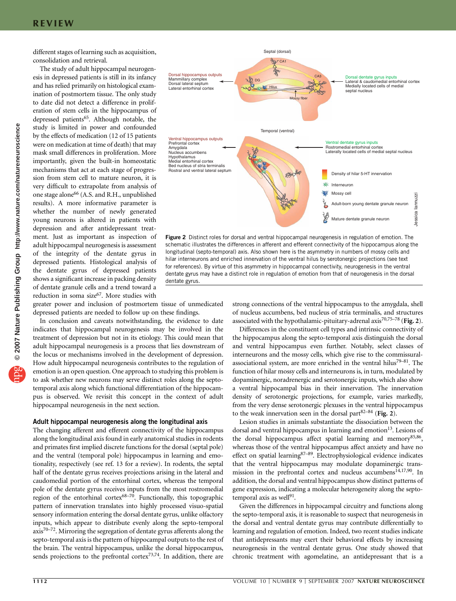different stages of learning such as acquisition, consolidation and retrieval.

The study of adult hippocampal neurogenesis in depressed patients is still in its infancy and has relied primarily on histological examination of postmortem tissue. The only study to date did not detect a difference in proliferation of stem cells in the hippocampus of depressed patients<sup>65</sup>. Although notable, the study is limited in power and confounded by the effects of medication (12 of 15 patients were on medication at time of death) that may mask small differences in proliferation. More importantly, given the built-in homeostatic mechanisms that act at each stage of progression from stem cell to mature neuron, it is very difficult to extrapolate from analysis of one stage alone<sup>66</sup> (A.S. and R.H., unpublished results). A more informative parameter is whether the number of newly generated young neurons is altered in patients with depression and after antidepressant treatment. Just as important as inspection of adult hippocampal neurogenesis is assessment of the integrity of the dentate gyrus in depressed patients. Histological analysis of the dentate gyrus of depressed patients shows a significant increase in packing density of dentate granule cells and a trend toward a reduction in soma size<sup>[67](#page-4-0)</sup>. More studies with

greater power and inclusion of postmortem tissue of unmedicated depressed patients are needed to follow up on these findings.

In conclusion and caveats notwithstanding, the evidence to date indicates that hippocampal neurogenesis may be involved in the treatment of depression but not in its etiology. This could mean that adult hippocampal neurogenesis is a process that lies downstream of the locus or mechanisms involved in the development of depression. How adult hippocampal neurogenesis contributes to the regulation of emotion is an open question. One approach to studying this problem is to ask whether new neurons may serve distinct roles along the septotemporal axis along which functional differentiation of the hippocampus is observed. We revisit this concept in the context of adult hippocampal neurogenesis in the next section.

#### Adult hippocampal neurogenesis along the longitudinal axis

The changing afferent and efferent connectivity of the hippocampus along the longitudinal axis found in early anatomical studies in rodents and primates first implied discrete functions for the dorsal (septal pole) and the ventral (temporal pole) hippocampus in learning and emotionality, respectively (see ref. 13 for a review). In rodents, the septal half of the dentate gyrus receives projections arising in the lateral and caudomedial portion of the entorhinal cortex, whereas the temporal pole of the dentate gyrus receives inputs from the most rostromedial region of the entorhinal cortex $68-70$ . Functionally, this topographic pattern of innervation translates into highly processed visuo-spatial sensory information entering the dorsal dentate gyrus, unlike olfactory inputs, which appear to distribute evenly along the septo-temporal  $axis^{70-72}$ . Mirroring the segregation of dentate gyrus afferents along the septo-temporal axis is the pattern of hippocampal outputs to the rest of the brain. The ventral hippocampus, unlike the dorsal hippocampus, sends projections to the prefrontal cortex $73,74$ . In addition, there are



Figure 2 Distinct roles for dorsal and ventral hippocampal neurogenesis in regulation of emotion. The schematic illustrates the differences in afferent and efferent connectivity of the hippocampus along the longitudinal (septo-temporal) axis. Also shown here is the asymmetry in numbers of mossy cells and hilar interneurons and enriched innervation of the ventral hilus by serotonergic projections (see text for references). By virtue of this asymmetry in hippocampal connectivity, neurogenesis in the ventral dentate gyrus may have a distinct role in regulation of emotion from that of neurogenesis in the dorsal dentate gyrus.

strong connections of the ventral hippocampus to the amygdala, shell of nucleus accumbens, bed nucleus of stria terminalis, and structures associated with the hypothalamic-pituitary-adrenal  $axis^{70,75-78}$  (Fig. 2).

Differences in the constituent cell types and intrinsic connectivity of the hippocampus along the septo-temporal axis distinguish the dorsal and ventral hippocampus even further. Notably, select classes of interneurons and the mossy cells, which give rise to the commissuralassociational system, are more enriched in the ventral hilus<sup>79–81</sup>. The function of hilar mossy cells and interneurons is, in turn, modulated by dopaminergic, noradrenergic and serotonergic inputs, which also show a ventral hippocampal bias in their innervation. The innervation density of serotonergic projections, for example, varies markedly, from the very dense serotonergic plexuses in the ventral hippocampus to the weak innervation seen in the dorsal part $82-84$  (Fig. 2).

Lesion studies in animals substantiate the dissociation between the dorsal and ventral hippocampus in learning and emotion<sup>[13](#page-3-0)</sup>. Lesions of the dorsal hippocampus affect spatial learning and memory<sup>85,86</sup>, whereas those of the ventral hippocampus affect anxiety and have no effect on spatial learning $87-89$ . Electrophysiological evidence indicates that the ventral hippocampus may modulate dopaminergic transmission in the prefrontal cortex and nucleus accumbens<sup>14,17,90</sup>. In addition, the dorsal and ventral hippocampus show distinct patterns of gene expression, indicating a molecular heterogeneity along the septotemporal axis as well<sup>91</sup>.

Given the differences in hippocampal circuitry and functions along the septo-temporal axis, it is reasonable to suspect that neurogenesis in the dorsal and ventral dentate gyrus may contribute differentially to learning and regulation of emotion. Indeed, two recent studies indicate that antidepressants may exert their behavioral effects by increasing neurogenesis in the ventral dentate gyrus. One study showed that chronic treatment with agomelatine, an antidepressant that is a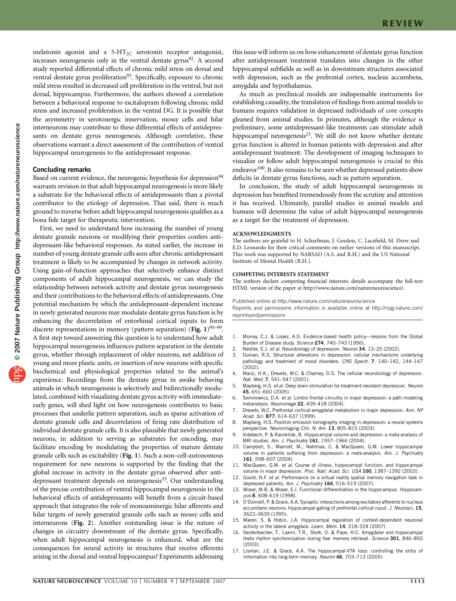<span id="page-3-0"></span>melatonin agonist and a  $5-HT_{2C}$  serotonin receptor antagonist, increases neurogenesis only in the ventral dentate gyrus<sup>[92](#page-5-0)</sup>. A second study reported differential effects of chronic mild stress on dorsal and ventral dentate gyrus proliferation<sup>93</sup>. Specifically, exposure to chronic mild stress resulted in decreased cell proliferation in the ventral, but not dorsal, hippocampus. Furthermore, the authors showed a correlation between a behavioral response to escitalopram following chronic mild stress and increased proliferation in the ventral DG. It is possible that the asymmetry in serotonergic innervation, mossy cells and hilar interneurons may contribute to these differential effects of antidepressants on dentate gyrus neurogenesis. Although correlative, these observations warrant a direct assessment of the contribution of ventral hippocampal neurogenesis to the antidepressant response.

# Concluding remarks

Based on current evidence, the neurogenic hypothesis for depression<sup>[94](#page-5-0)</sup> warrants revision in that adult hippocampal neurogenesis is more likely a substrate for the behavioral effects of antidepressants than a pivotal contributor to the etiology of depression. That said, there is much ground to traverse before adult hippocampal neurogenesis qualifies as a bona fide target for therapeutic intervention.

First, we need to understand how increasing the number of young dentate granule neurons or modifying their properties confers antidepressant-like behavioral responses. As stated earlier, the increase in number of young dentate granule cells seen after chronic antidepressant treatment is likely to be accompanied by changes in network activity. Using gain-of-function approaches that selectively enhance distinct components of adult hippocampal neurogenesis, we can study the relationship between network activity and dentate gyrus neurogenesis and their contributions to the behavioral effects of antidepressants. One potential mechanism by which the antidepressant-dependent increase in newly generated neurons may modulate dentate gyrus function is by enhancing the decorrelation of entorhinal cortical inputs to form discrete representations in memory (pattern separation) (Fig.  $1$ )<sup>95–99</sup>. A first step toward answering this question is to understand how adult hippocampal neurogenesis influences pattern separation in the dentate gyrus, whether through replacement of older neurons, net addition of young and more plastic units, or insertion of new neurons with specific biochemical and physiological properties related to the animal's experience. Recordings from the dentate gyrus in awake behaving animals in which neurogenesis is selectively and bidirectionally modulated, combined with visualizing dentate gyrus activity with immediateearly genes, will shed light on how neurogenesis contributes to basic processes that underlie pattern separation, such as sparse activation of dentate granule cells and decorrelation of firing rate distribution of individual dentate granule cells. It is also plausible that newly generated neurons, in addition to serving as substrates for encoding, may facilitate encoding by modulating the properties of mature dentate granule cells such as excitability (Fig. 1). Such a non–cell-autonomous requirement for new neurons is supported by the finding that the global increase in activity in the dentate gyrus observed after antidepressant treatment depends on neurogenesis<sup>35</sup>. Our understanding of the precise contribution of ventral hippocampal neurogenesis to the behavioral effects of antidepressants will benefit from a circuit-based approach that integrates the role of monoaminergic hilar afferents and hilar targets of newly generated granule cells such as mossy cells and interneurons (Fig. 2). Another outstanding issue is the nature of changes in circuitry downstream of the dentate gyrus. Specifically, when adult hippocampal neurogenesis is enhanced, what are the consequences for neural activity in structures that receive efferents arising in the dorsal and ventral hippocampus? Experiments addressing

this issue will inform us on how enhancement of dentate gyrus function after antidepressant treatment translates into changes in the other hippocampal subfields as well as in downstream structures associated with depression, such as the prefrontal cortex, nucleus accumbens, amygdala and hypothalamus.

As much as preclinical models are indispensable instruments for establishing causality, the translation of findings from animal models to humans requires validation in depressed individuals of core concepts gleaned from animal studies. In primates, although the evidence is preliminary, some antidepressant-like treatments can stimulate adult hippocampal neurogenesis<sup>23</sup>. We still do not know whether dentate gyrus function is altered in human patients with depression and after antidepressant treatment. The development of imaging techniques to visualize or follow adult hippocampal neurogenesis is crucial to this endeavor<sup>100</sup>. It also remains to be seen whether depressed patients show deficits in dentate gyrus functions, such as pattern separation.

In conclusion, the study of adult hippocampal neurogenesis in depression has benefited tremendously from the scrutiny and attention it has received. Ultimately, parallel studies in animal models and humans will determine the value of adult hippocampal neurogenesis as a target for the treatment of depression.

#### ACKNOWLEDGMENTS

The authors are grateful to H. Scharfman, J. Gordon, C. Lacefield, M. Drew and E.D. Leonardo for their critical comments on earlier versions of this manuscript. This work was supported by NARSAD (A.S. and R.H.) and the US National Institute of Mental Health (R.H.).

#### COMPETING INTERESTS STATEMENT

The authors declare competing financial interests: details accompany the full-text HTML version of the paper at<http://www.nature.com/natureneuroscience/>.

Published online at<http://www.nature.com/natureneuroscience>

Reprints and permissions information is available online at [http://npg.nature.com/](http://npg.nature.com/reprintsandpermissions) [reprintsandpermissions](http://npg.nature.com/reprintsandpermissions)

- 1. Murray, C.J. & Lopez, A.D. Evidence-based health policy—lessons from the Global Burden of Disease study. Science 274, 740-743 (1996).
- 2. Nestler, E.J. et al. Neurobiology of depression. Neuron 34, 13–25 (2002).
- 3. Duman, R.S. Structural alterations in depression: cellular mechanisms underlying pathology and treatment of mood disorders. CNS Spectr. 7, 140-142, 144-147 (2002).
- 4. Manji, H.K., Drevets, W.C. & Charney, D.S. The cellular neurobiology of depression. Nat. Med. 7, 541–547 (2001).
- 5. Mayberg, H.S. et al. Deep brain stimulation for treatment-resistant depression. Neuron 45, 651–660 (2005).
- 6. Seminowicz, D.A. et al. Limbic-frontal circuitry in major depression: a path modeling metanalysis. Neuroimage 22, 409–418 (2004).
- 7. Drevets, W.C. Prefrontal cortical-amygdalar metabolism in major depression. Ann. NY Acad. Sci. 877, 614-637 (1999).
- 8. Mayberg, H.S. Positron emission tomography imaging in depression: a neural systems perspective. Neuroimaging Clin. N. Am. 13, 805–815 (2003).
- 9. Videbech, P. & Ravnkilde, B. Hippocampal volume and depression: a meta-analysis of MRI studies. Am. J. Psychiatry 161, 1957–1966 (2004).
- 10. Campbell, S., Marriott, M., Nahmias, C. & MacQueen, G.M. Lower hippocampal volume in patients suffering from depression: a meta-analysis. Am. J. Psychiatry 161, 598–607 (2004).
- 11. MacQueen, G.M. et al. Course of illness, hippocampal function, and hippocampal volume in major depression. Proc. Natl. Acad. Sci. USA 100, 1387-1392 (2003).
- 12. Gould, N.F. et al. Performance on a virtual reality spatial memory navigation task in depressed patients. Am. J. Psychiatry 164, 516-519 (2007).
- 13. Moser, M.B. & Moser, E.I. Functional differentiation in the hippocampus. Hippocampus 8, 608–619 (1998).
- 14. O'Donnell, P. & Grace, A.A. Synaptic interactions among excitatory afferents to nucleus accumbens neurons: hippocampal gating of prefrontal cortical input. J. Neurosci. 15, 3622–3639 (1995).
- 15. Maren, S. & Hobin, J.A. Hippocampal regulation of context-dependent neuronal activity in the lateral amygdala. Learn. Mem. 14, 318-324 (2007).
- 16. Seidenbecher, T., Laxmi, T.R., Stork, O. & Pape, H.C. Amygdalar and hippocampal theta rhythm synchronization during fear memory retrieval. Science 301, 846-850 (2003).
- 17. Lisman, J.E. & Grace, A.A. The hippocampal-VTA loop: controlling the entry of information into long-term memory. Neuron 46, 703–713 (2005).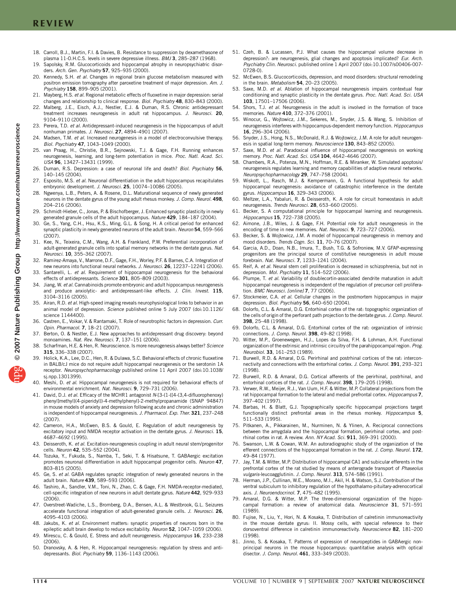- <span id="page-4-0"></span>18. Carroll, B.J., Martin, F.I. & Davies, B. Resistance to suppression by dexamethasone of plasma 11-O.H.C.S. levels in severe depressive illness. BMJ 3, 285-287 (1968).
- 19. Sapolsky, R.M. Glucocorticoids and hippocampal atrophy in neuropsychiatric disorders. Arch. Gen. Psychiatry 57, 925–935 (2000).
- 20. Kennedy, S.H. et al. Changes in regional brain glucose metabolism measured with positron emission tomography after paroxetine treatment of major depression. Am. J. Psychiatry 158, 899–905 (2001).
- 21. Mayberg, H.S. et al. Regional metabolic effects of fluoxetine in major depression: serial changes and relationship to clinical response. Biol. Psychiatry 48, 830-843 (2000).
- 22. Malberg, J.E., Eisch, A.J., Nestler, E.J. & Duman, R.S. Chronic antidepressant treatment increases neurogenesis in adult rat hippocampus. J. Neurosci. 20, 9104–9110 (2000).
- 23. Perera, T.D. et al. Antidepressant-induced neurogenesis in the hippocampus of adult nonhuman primates. J. Neurosci. 27, 4894-4901 (2007).
- Madsen, T.M. et al. Increased neurogenesis in a model of electroconvulsive therapy. Biol. Psychiatry 47, 1043–1049 (2000).
- van Praag, H., Christie, B.R., Sejnowski, T.J. & Gage, F.H. Running enhances neurogenesis, learning, and long-term potentiation in mice. Proc. Natl. Acad. Sci. USA 96, 13427–13431 (1999).
- 26. Duman, R.S. Depression: a case of neuronal life and death? Biol. Psychiatry 56. 140–145 (2004).
- 27. Esposito, M.S. et al. Neuronal differentiation in the adult hippocampus recapitulates embryonic development. J. Neurosci. 25, 10074-10086 (2005).
- 28. Ngwenya, L.B., Peters, A. & Rosene, D.L. Maturational sequence of newly generated neurons in the dentate gyrus of the young adult rhesus monkey. J. Comp. Neurol. 498, 204–216 (2006).
- 29. Schmidt-Hieber, C., Jonas, P. & Bischofberger, J. Enhanced synaptic plasticity in newly generated granule cells of the adult hippocampus. Nature 429, 184–187 (2004).
- 30. Ge, S., Yang, C.H., Hsu, K.S., Ming, G.L. & Song, H. A critical period for enhanced synaptic plasticity in newly generated neurons of the adult brain. Neuron 54, 559-566 (2007).
- 31. Kee, N., Teixeira, C.M., Wang, A.H. & Frankland, P.W. Preferential incorporation of adult-generated granule cells into spatial memory networks in the dentate gyrus. Nat. Neurosci. 10, 355–362 (2007).
- Ramirez-Amaya, V., Marrone, D.F., Gage, F.H., Worley, P.F. & Barnes, C.A. Integration of new neurons into functional neural networks. J. Neurosci. 26, 12237–12241 (2006).
- 33. Santarelli, L. et al. Requirement of hippocampal neurogenesis for the behavioral effects of antidepressants. Science 301, 805-809 (2003).
- 34. Jiang, W. et al. Cannabinoids promote embryonic and adult hippocampus neurogenesis and produce anxiolytic- and antidepressant-like effects. J. Clin. Invest. 115, 3104–3116 (2005).
- 35. Airan, R.D. et al. High-speed imaging reveals neurophysiological links to behavior in an animal model of depression. Science published online 5 July 2007 (doi:10.1126/ science 1144400).
- 36. Castren, E., Voikar, V. & Rantamaki, T. Role of neurotrophic factors in depression. Curr. Opin. Pharmacol. 7, 18–21 (2007).
- Berton, O. & Nestler, E.J. New approaches to antidepressant drug discovery: beyond monoamines. Nat. Rev. Neurosci. 7, 137-151 (2006).
- 38. Scharfman, H.E. & Hen, R. Neuroscience. Is more neurogenesis always better? Science 315, 336–338 (2007).
- 39. Holick, K.A., Lee, D.C., Hen, R. & Dulawa, S.C. Behavioral effects of chronic fluoxetine in BALB/cJ mice do not require adult hippocampal neurogenesis or the serotonin 1A receptor. Neuropsychopharmacology published online 11 April 2007 (doi:10.1038/ sj.npp.1301399).
- 40. Meshi, D. et al. Hippocampal neurogenesis is not required for behavioral effects of environmental enrichment. Nat. Neurosci. 9, 729–731 (2006).
- 41. David, D.J. et al. Efficacy of the MCHR1 antagonist N-[3-(1-{[4-(3,4-difluorophenoxy) phenyl]methyl}(4-piperidyl))-4-methylphenyl]-2-methylpropanamide (SNAP 94847) in mouse models of anxiety and depression following acute and chronic administration is independent of hippocampal neurogenesis. J. Pharmacol. Exp. Ther. 321, 237-248 (2007).
- 42. Cameron, H.A., McEwen, B.S. & Gould, E. Regulation of adult neurogenesis by excitatory input and NMDA receptor activation in the dentate gyrus. J. Neurosci. 15, 4687–4692 (1995).
- 43. Deisseroth, K. et al. Excitation-neurogenesis coupling in adult neural stem/progenitor cells. Neuron 42, 535-552 (2004).
- 44. Tozuka, Y., Fukuda, S., Namba, T., Seki, T. & Hisatsune, T. GABAergic excitation promotes neuronal differentiation in adult hippocampal progenitor cells. Neuron 47, 803–815 (2005).
- 45. Ge, S. et al. GABA regulates synaptic integration of newly generated neurons in the adult brain. Nature 439, 589–593 (2006).
- 46. Tashiro, A., Sandler, V.M., Toni, N., Zhao, C. & Gage, F.H. NMDA-receptor-mediated, cell-specific integration of new neurons in adult dentate gyrus. Nature 442, 929-933 (2006).
- 47. Overstreet-Wadiche, L.S., Bromberg, D.A., Bensen, A.L. & Westbrook, G.L. Seizures accelerate functional integration of adult-generated granule cells. J. Neurosci. 26. 4095–4103 (2006).
- 48. Jakubs, K. et al. Environment matters: synaptic properties of neurons born in the epileptic adult brain develop to reduce excitability. Neuron 52, 1047-1059 (2006).
- 49. Mirescu, C. & Gould, E. Stress and adult neurogenesis. Hippocampus 16, 233–238  $(2006)$
- 50. Dranovsky, A. & Hen, R. Hippocampal neurogenesis: regulation by stress and antidepressants. Biol. Psychiatry 59, 1136–1143 (2006).
- 51. Czeh, B. & Lucassen, P.J. What causes the hippocampal volume decrease in depression?: are neurogenesis, glial changes and apoptosis implicated? Eur. Arch. Psychiatry Clin. Neurosci. published online 1 April 2007 (doi:10.1007/s00406-007- 0728-0).
- 52. McEwen, B.S. Glucocorticoids, depression, and mood disorders: structural remodeling in the brain. Metabolism 54, 20-23 (2005).
- 53. Saxe, M.D. et al. Ablation of hippocampal neurogenesis impairs contextual fear conditioning and synaptic plasticity in the dentate gyrus. Proc. Natl. Acad. Sci. USA 103, 17501–17506 (2006).
- 54. Shors, T.J. et al. Neurogenesis in the adult is involved in the formation of trace memories. Nature 410, 372–376 (2001).
- 55. Winocur, G., Wojtowicz, J.M., Sekeres, M., Snyder, J.S. & Wang, S. Inhibition of neurogenesis interferes with hippocampus-dependent memory function. Hippocampus 16, 296–304 (2006).
- 56. Snyder, J.S., Hong, N.S., McDonald, R.J. & Wojtowicz, J.M. A role for adult neurogenesis in spatial long-term memory. Neuroscience 130, 843-852 (2005).
- 57. Saxe, M.D. et al. Paradoxical influence of hippocampal neurogenesis on working memory. Proc. Natl. Acad. Sci. USA 104, 4642–4646 (2007).
- 58. Chambers, R.A., Potenza, M.N., Hoffman, R.E. & Miranker, W. Simulated apoptosis/ neurogenesis regulates learning and memory capabilities of adaptive neural networks. Neuropsychopharmacology 29, 747–758 (2004).
- 59. Wiskott, L., Rasch, M.J. & Kempermann, G. A functional hypothesis for adult hippocampal neurogenesis: avoidance of catastrophic interference in the dentate gyrus. Hippocampus 16, 329–343 (2006).
- 60. Meltzer, L.A., Yabaluri, R. & Deisseroth, K. A role for circuit homeostasis in adult neurogenesis. Trends Neurosci. 28, 653-660 (2005).
- 61. Becker, S. A computational principle for hippocampal learning and neurogenesis. Hippocampus 15, 722–738 (2005).
- 62. Aimone, J.B., Wiles, J. & Gage, F.H. Potential role for adult neurogenesis in the encoding of time in new memories. Nat. Neurosci. 9, 723-727 (2006).
- 63. Becker, S. & Wojtowicz, J.M. A model of hippocampal neurogenesis in memory and mood disorders. Trends Cogn. Sci. 11, 70–76 (2007).
- 64. Garcia, A.D., Doan, N.B., Imura, T., Bush, T.G. & Sofroniew, M.V. GFAP-expressing progenitors are the principal source of constitutive neurogenesis in adult mouse forebrain. Nat. Neurosci. 7, 1233–1241 (2004).
- 65. Reif, A. et al. Neural stem cell proliferation is decreased in schizophrenia, but not in depression. Mol. Psychiatry 11, 514-522 (2006).
- 66. Plumpe, T. et al. Variability of doublecortin-associated dendrite maturation in adult hippocampal neurogenesis is independent of the regulation of precursor cell proliferation. BMC Neurosci. [online] 7, 77 (2006).
- 67. Stockmeier, C.A. et al. Cellular changes in the postmortem hippocampus in major depression. Biol. Psychiatry 56, 640-650 (2004).
- 68. Dolorfo, C.L. & Amaral, D.G. Entorhinal cortex of the rat: topographic organization of the cells of origin of the perforant path projection to the dentate gyrus. J. Comp. Neurol. 398, 25–48 (1998).
- 69. Dolorfo, C.L. & Amaral, D.G. Entorhinal cortex of the rat: organization of intrinsic connections. J. Comp. Neurol. 398, 49–82 (1998).
- 70. Witter, M.P., Groenewegen, H.J., Lopes da Silva, F.H. & Lohman, A.H. Functional organization of the extrinsic and intrinsic circuitry of the parahippocampal region. Prog. Neurobiol. 33, 161–253 (1989).
- 71. Burwell, R.D. & Amaral, D.G. Perirhinal and postrhinal cortices of the rat: interconnectivity and connections with the entorhinal cortex. J. Comp. Neurol. 391, 293-321 (1998).
- 72. Burwell, R.D. & Amaral, D.G. Cortical afferents of the perirhinal, postrhinal, and entorhinal cortices of the rat. J. Comp. Neurol. 398, 179-205 (1998).
- 73. Verwer, R.W., Meijer, R.J., Van Uum, H.F. & Witter, M.P. Collateral projections from the rat hippocampal formation to the lateral and medial prefrontal cortex. Hippocampus 7, 397–402 (1997).
- 74. Barbas, H. & Blatt, G.J. Topographically specific hippocampal projections target functionally distinct prefrontal areas in the rhesus monkey. Hippocampus 5, 511–533 (1995).
- 75. Pitkanen, A., Pikkarainen, M., Nurminen, N. & Ylinen, A. Reciprocal connections between the amygdala and the hippocampal formation, perirhinal cortex, and postrhinal cortex in rat. A review. Ann. NY Acad. Sci. 911, 369–391 (2000).
- 76. Swanson, L.W. & Cowan, W.M. An autoradiographic study of the organization of the efferent connections of the hippocampal formation in the rat. J. Comp. Neurol. 172, 49–84 (1977).
- 77. Jay, T.M. & Witter, M.P. Distribution of hippocampal CA1 and subicular efferents in the prefrontal cortex of the rat studied by means of anterograde transport of Phaseolus vulgaris-leucoagglutinin. J. Comp. Neurol. 313, 574–586 (1991).
- 78. Herman, J.P., Cullinan, W.E., Morano, M.I., Akil, H. & Watson, S.J. Contribution of the ventral subiculum to inhibitory regulation of the hypothalamo-pituitary-adrenocortical axis. J. Neuroendocrinol. 7, 475–482 (1995).
- 79. Amaral, D.G. & Witter, M.P. The three-dimensional organization of the hippocampal formation: a review of anatomical data. Neuroscience 31, 571-591 (1989).
- 80. Fujise, N., Liu, Y., Hori, N. & Kosaka, T. Distribution of calretinin immunoreactivity in the mouse dentate gyrus: II. Mossy cells, with special reference to their dorsoventral difference in calretinin immunoreactivity. Neuroscience 82, 181–200 (1998).
- 81. Jinno, S. & Kosaka, T. Patterns of expression of neuropeptides in GABAergic nonprincipal neurons in the mouse hippocampus: quantitative analysis with optical disector. J. Comp. Neurol. 461, 333–349 (2003).